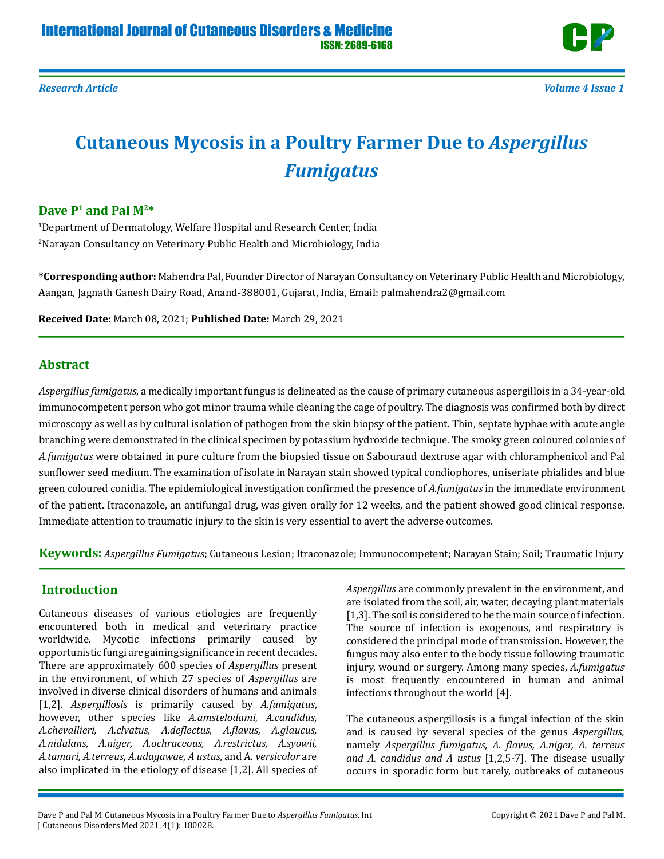

# **Cutaneous Mycosis in a Poultry Farmer Due to** *Aspergillus Fumigatus*

## **Dave P1 and Pal M2\***

1 Department of Dermatology, Welfare Hospital and Research Center, India 2 Narayan Consultancy on Veterinary Public Health and Microbiology, India

**\*Corresponding author:** Mahendra Pal, Founder Director of Narayan Consultancy on Veterinary Public Health and Microbiology, Aangan, Jagnath Ganesh Dairy Road, Anand-388001, Gujarat, India, Email: palmahendra2@gmail.com

**Received Date:** March 08, 2021; **Published Date:** March 29, 2021

## **Abstract**

*Aspergillus fumigatus*, a medically important fungus is delineated as the cause of primary cutaneous aspergillois in a 34-year-old immunocompetent person who got minor trauma while cleaning the cage of poultry. The diagnosis was confirmed both by direct microscopy as well as by cultural isolation of pathogen from the skin biopsy of the patient. Thin, septate hyphae with acute angle branching were demonstrated in the clinical specimen by potassium hydroxide technique. The smoky green coloured colonies of *A.fumigatus* were obtained in pure culture from the biopsied tissue on Sabouraud dextrose agar with chloramphenicol and Pal sunflower seed medium. The examination of isolate in Narayan stain showed typical condiophores, uniseriate phialides and blue green coloured conidia. The epidemiological investigation confirmed the presence of *A.fumigatus* in the immediate environment of the patient. Itraconazole, an antifungal drug, was given orally for 12 weeks, and the patient showed good clinical response. Immediate attention to traumatic injury to the skin is very essential to avert the adverse outcomes.

**Keywords:** *Aspergillus Fumigatus*; Cutaneous Lesion; Itraconazole; Immunocompetent; Narayan Stain; Soil; Traumatic Injury

# **Introduction**

Cutaneous diseases of various etiologies are frequently encountered both in medical and veterinary practice worldwide. Mycotic infections primarily caused by opportunistic fungi are gaining significance in recent decades. There are approximately 600 species of *Aspergillus* present in the environment, of which 27 species of *Aspergillus* are involved in diverse clinical disorders of humans and animals [1,2]. *Aspergillosis* is primarily caused by *A.fumigatus*, however, other species like *A.amstelodami, A.candidus, A.chevallieri, A.clvatus, A.deflectus, A.flavus, A.glaucus, A.nidulans, A.niger, A.ochraceous, A.restrictus, A.syowii, A.tamari, A.terreus, A.udagawae, A ustus,* and A. *versicolor* are also implicated in the etiology of disease [1,2]. All species of *Aspergillus* are commonly prevalent in the environment, and are isolated from the soil, air, water, decaying plant materials [1,3]. The soil is considered to be the main source of infection. The source of infection is exogenous, and respiratory is considered the principal mode of transmission. However, the fungus may also enter to the body tissue following traumatic injury, wound or surgery. Among many species, *A.fumigatus* is most frequently encountered in human and animal infections throughout the world [4].

The cutaneous aspergillosis is a fungal infection of the skin and is caused by several species of the genus *Aspergillus,* namely *Aspergillus fumigatus, A. flavus, A.niger, A. terreus and A. candidus and A ustus* [1,2,5-7]. The disease usually occurs in sporadic form but rarely, outbreaks of cutaneous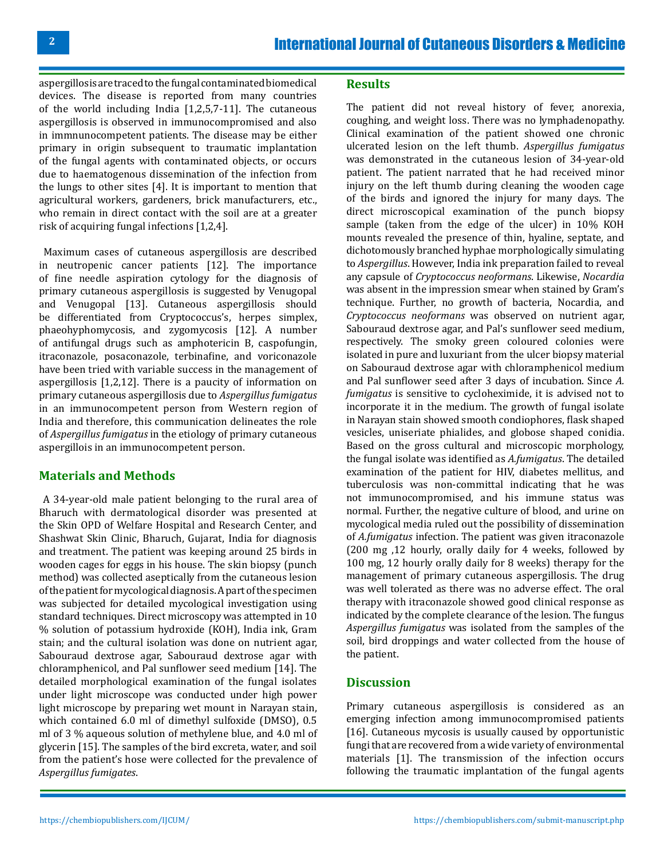aspergillosis are traced to the fungal contaminated biomedical devices. The disease is reported from many countries of the world including India [1,2,5,7-11]. The cutaneous aspergillosis is observed in immunocompromised and also in immnunocompetent patients. The disease may be either primary in origin subsequent to traumatic implantation of the fungal agents with contaminated objects, or occurs due to haematogenous dissemination of the infection from the lungs to other sites [4]. It is important to mention that agricultural workers, gardeners, brick manufacturers, etc., who remain in direct contact with the soil are at a greater risk of acquiring fungal infections [1,2,4].

 Maximum cases of cutaneous aspergillosis are described in neutropenic cancer patients [12]. The importance of fine needle aspiration cytology for the diagnosis of primary cutaneous aspergillosis is suggested by Venugopal and Venugopal [13]. Cutaneous aspergillosis should be differentiated from Cryptococcus's, herpes simplex, phaeohyphomycosis, and zygomycosis [12]. A number of antifungal drugs such as amphotericin B, caspofungin, itraconazole, posaconazole, terbinafine, and voriconazole have been tried with variable success in the management of aspergillosis [1,2,12]. There is a paucity of information on primary cutaneous aspergillosis due to *Aspergillus fumigatus* in an immunocompetent person from Western region of India and therefore, this communication delineates the role of *Aspergillus fumigatus* in the etiology of primary cutaneous aspergillois in an immunocompetent person.

## **Materials and Methods**

 A 34-year-old male patient belonging to the rural area of Bharuch with dermatological disorder was presented at the Skin OPD of Welfare Hospital and Research Center, and Shashwat Skin Clinic, Bharuch, Gujarat, India for diagnosis and treatment. The patient was keeping around 25 birds in wooden cages for eggs in his house. The skin biopsy (punch method) was collected aseptically from the cutaneous lesion of the patient for mycological diagnosis. A part of the specimen was subjected for detailed mycological investigation using standard techniques. Direct microscopy was attempted in 10 % solution of potassium hydroxide (KOH), India ink, Gram stain; and the cultural isolation was done on nutrient agar, Sabouraud dextrose agar, Sabouraud dextrose agar with chloramphenicol, and Pal sunflower seed medium [14]. The detailed morphological examination of the fungal isolates under light microscope was conducted under high power light microscope by preparing wet mount in Narayan stain, which contained 6.0 ml of dimethyl sulfoxide (DMSO), 0.5 ml of 3 % aqueous solution of methylene blue, and 4.0 ml of glycerin [15]. The samples of the bird excreta, water, and soil from the patient's hose were collected for the prevalence of *Aspergillus fumigates*.

#### **Results**

The patient did not reveal history of fever, anorexia, coughing, and weight loss. There was no lymphadenopathy. Clinical examination of the patient showed one chronic ulcerated lesion on the left thumb. *Aspergillus fumigatus* was demonstrated in the cutaneous lesion of 34-year-old patient. The patient narrated that he had received minor injury on the left thumb during cleaning the wooden cage of the birds and ignored the injury for many days. The direct microscopical examination of the punch biopsy sample (taken from the edge of the ulcer) in 10% KOH mounts revealed the presence of thin, hyaline, septate, and dichotomously branched hyphae morphologically simulating to *Aspergillus*. However, India ink preparation failed to reveal any capsule of *Cryptococcus neoformans*. Likewise, *Nocardia* was absent in the impression smear when stained by Gram's technique. Further, no growth of bacteria, Nocardia, and *Cryptococcus neoformans* was observed on nutrient agar, Sabouraud dextrose agar, and Pal's sunflower seed medium, respectively. The smoky green coloured colonies were isolated in pure and luxuriant from the ulcer biopsy material on Sabouraud dextrose agar with chloramphenicol medium and Pal sunflower seed after 3 days of incubation. Since *A. fumigatus* is sensitive to cycloheximide, it is advised not to incorporate it in the medium. The growth of fungal isolate in Narayan stain showed smooth condiophores, flask shaped vesicles, uniseriate phialides, and globose shaped conidia. Based on the gross cultural and microscopic morphology, the fungal isolate was identified as *A.fumigatus*. The detailed examination of the patient for HIV, diabetes mellitus, and tuberculosis was non-committal indicating that he was not immunocompromised, and his immune status was normal. Further, the negative culture of blood, and urine on mycological media ruled out the possibility of dissemination of *A.fumigatus* infection. The patient was given itraconazole (200 mg ,12 hourly, orally daily for 4 weeks, followed by 100 mg, 12 hourly orally daily for 8 weeks) therapy for the management of primary cutaneous aspergillosis. The drug was well tolerated as there was no adverse effect. The oral therapy with itraconazole showed good clinical response as indicated by the complete clearance of the lesion. The fungus *Aspergillus fumigatus* was isolated from the samples of the soil, bird droppings and water collected from the house of the patient.

#### **Discussion**

Primary cutaneous aspergillosis is considered as an emerging infection among immunocompromised patients [16]. Cutaneous mycosis is usually caused by opportunistic fungi that are recovered from a wide variety of environmental materials [1]. The transmission of the infection occurs following the traumatic implantation of the fungal agents